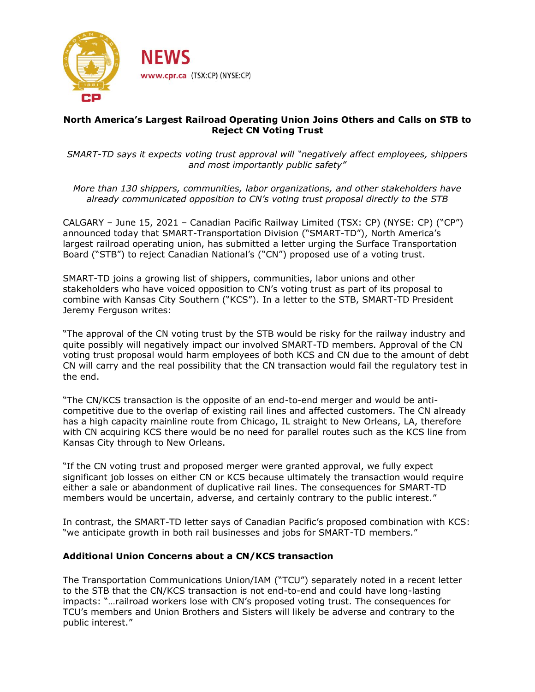

# **North America's Largest Railroad Operating Union Joins Others and Calls on STB to Reject CN Voting Trust**

*SMART-TD says it expects voting trust approval will "negatively affect employees, shippers and most importantly public safety"* 

*More than 130 shippers, communities, labor organizations, and other stakeholders have already communicated opposition to CN's voting trust proposal directly to the STB*

CALGARY – June 15, 2021 – Canadian Pacific Railway Limited (TSX: CP) (NYSE: CP) ("CP") announced today that SMART-Transportation Division ("SMART-TD"), North America's largest railroad operating union, has submitted a letter urging the Surface Transportation Board ("STB") to reject Canadian National's ("CN") proposed use of a voting trust.

SMART-TD joins a growing list of shippers, communities, labor unions and other stakeholders who have voiced opposition to CN's voting trust as part of its proposal to combine with Kansas City Southern ("KCS"). In a letter to the STB, SMART-TD President Jeremy Ferguson writes:

"The approval of the CN voting trust by the STB would be risky for the railway industry and quite possibly will negatively impact our involved SMART-TD members. Approval of the CN voting trust proposal would harm employees of both KCS and CN due to the amount of debt CN will carry and the real possibility that the CN transaction would fail the regulatory test in the end.

"The CN/KCS transaction is the opposite of an end-to-end merger and would be anticompetitive due to the overlap of existing rail lines and affected customers. The CN already has a high capacity mainline route from Chicago, IL straight to New Orleans, LA, therefore with CN acquiring KCS there would be no need for parallel routes such as the KCS line from Kansas City through to New Orleans.

"If the CN voting trust and proposed merger were granted approval, we fully expect significant job losses on either CN or KCS because ultimately the transaction would require either a sale or abandonment of duplicative rail lines. The consequences for SMART-TD members would be uncertain, adverse, and certainly contrary to the public interest."

In contrast, the SMART-TD letter says of Canadian Pacific's proposed combination with KCS: "we anticipate growth in both rail businesses and jobs for SMART-TD members."

### **Additional Union Concerns about a CN/KCS transaction**

The Transportation Communications Union/IAM ("TCU") separately noted in a recent letter to the STB that the CN/KCS transaction is not end-to-end and could have long-lasting impacts: "…railroad workers lose with CN's proposed voting trust. The consequences for TCU's members and Union Brothers and Sisters will likely be adverse and contrary to the public interest."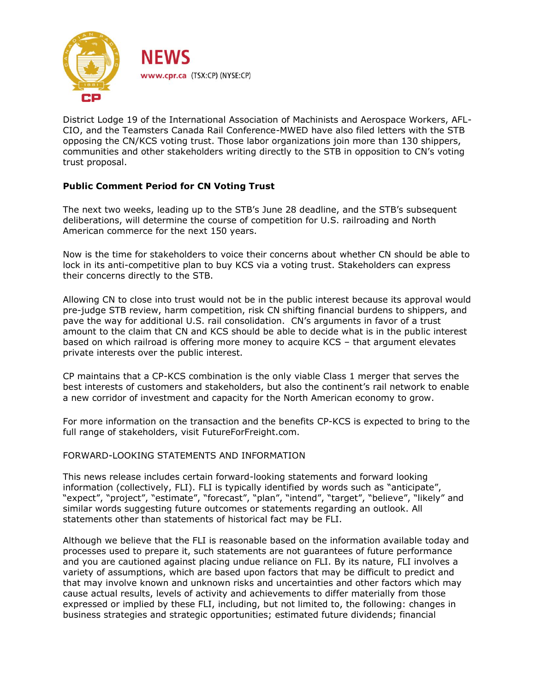

District Lodge 19 of the International Association of Machinists and Aerospace Workers, AFL-CIO, and the Teamsters Canada Rail Conference-MWED have also filed letters with the STB opposing the CN/KCS voting trust. Those labor organizations join more than 130 shippers, communities and other stakeholders writing directly to the STB in opposition to CN's voting trust proposal.

# **Public Comment Period for CN Voting Trust**

The next two weeks, leading up to the STB's June 28 deadline, and the STB's subsequent deliberations, will determine the course of competition for U.S. railroading and North American commerce for the next 150 years.

Now is the time for stakeholders to voice their concerns about whether CN should be able to lock in its anti-competitive plan to buy KCS via a voting trust. Stakeholders can express their concerns directly to the STB.

Allowing CN to close into trust would not be in the public interest because its approval would pre-judge STB review, harm competition, risk CN shifting financial burdens to shippers, and pave the way for additional U.S. rail consolidation. CN's arguments in favor of a trust amount to the claim that CN and KCS should be able to decide what is in the public interest based on which railroad is offering more money to acquire KCS – that argument elevates private interests over the public interest.

CP maintains that a CP-KCS combination is the only viable Class 1 merger that serves the best interests of customers and stakeholders, but also the continent's rail network to enable a new corridor of investment and capacity for the North American economy to grow.

For more information on the transaction and the benefits CP-KCS is expected to bring to the full range of stakeholders, visit FutureForFreight.com.

FORWARD-LOOKING STATEMENTS AND INFORMATION

This news release includes certain forward-looking statements and forward looking information (collectively, FLI). FLI is typically identified by words such as "anticipate", "expect", "project", "estimate", "forecast", "plan", "intend", "target", "believe", "likely" and similar words suggesting future outcomes or statements regarding an outlook. All statements other than statements of historical fact may be FLI.

Although we believe that the FLI is reasonable based on the information available today and processes used to prepare it, such statements are not guarantees of future performance and you are cautioned against placing undue reliance on FLI. By its nature, FLI involves a variety of assumptions, which are based upon factors that may be difficult to predict and that may involve known and unknown risks and uncertainties and other factors which may cause actual results, levels of activity and achievements to differ materially from those expressed or implied by these FLI, including, but not limited to, the following: changes in business strategies and strategic opportunities; estimated future dividends; financial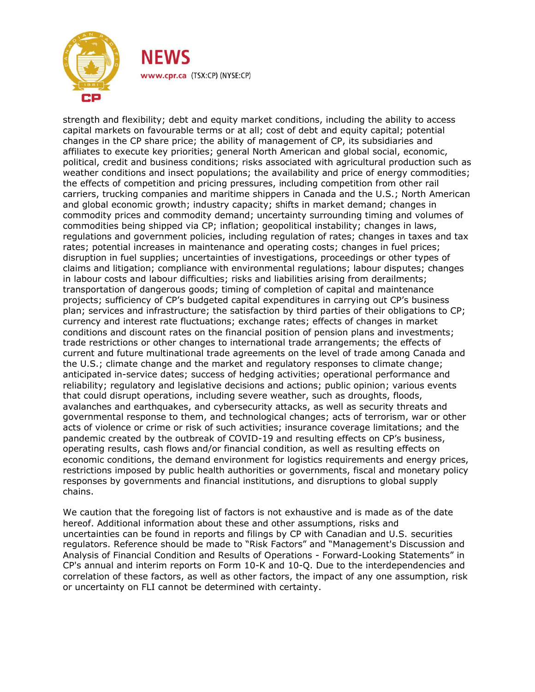

strength and flexibility; debt and equity market conditions, including the ability to access capital markets on favourable terms or at all; cost of debt and equity capital; potential changes in the CP share price; the ability of management of CP, its subsidiaries and affiliates to execute key priorities; general North American and global social, economic, political, credit and business conditions; risks associated with agricultural production such as weather conditions and insect populations; the availability and price of energy commodities; the effects of competition and pricing pressures, including competition from other rail carriers, trucking companies and maritime shippers in Canada and the U.S.; North American and global economic growth; industry capacity; shifts in market demand; changes in commodity prices and commodity demand; uncertainty surrounding timing and volumes of commodities being shipped via CP; inflation; geopolitical instability; changes in laws, regulations and government policies, including regulation of rates; changes in taxes and tax rates; potential increases in maintenance and operating costs; changes in fuel prices; disruption in fuel supplies; uncertainties of investigations, proceedings or other types of claims and litigation; compliance with environmental regulations; labour disputes; changes in labour costs and labour difficulties; risks and liabilities arising from derailments; transportation of dangerous goods; timing of completion of capital and maintenance projects; sufficiency of CP's budgeted capital expenditures in carrying out CP's business plan; services and infrastructure; the satisfaction by third parties of their obligations to CP; currency and interest rate fluctuations; exchange rates; effects of changes in market conditions and discount rates on the financial position of pension plans and investments; trade restrictions or other changes to international trade arrangements; the effects of current and future multinational trade agreements on the level of trade among Canada and the U.S.; climate change and the market and regulatory responses to climate change; anticipated in-service dates; success of hedging activities; operational performance and reliability; regulatory and legislative decisions and actions; public opinion; various events that could disrupt operations, including severe weather, such as droughts, floods, avalanches and earthquakes, and cybersecurity attacks, as well as security threats and governmental response to them, and technological changes; acts of terrorism, war or other acts of violence or crime or risk of such activities; insurance coverage limitations; and the pandemic created by the outbreak of COVID-19 and resulting effects on CP's business, operating results, cash flows and/or financial condition, as well as resulting effects on economic conditions, the demand environment for logistics requirements and energy prices, restrictions imposed by public health authorities or governments, fiscal and monetary policy responses by governments and financial institutions, and disruptions to global supply chains.

We caution that the foregoing list of factors is not exhaustive and is made as of the date hereof. Additional information about these and other assumptions, risks and uncertainties can be found in reports and filings by CP with Canadian and U.S. securities regulators. Reference should be made to "Risk Factors" and "Management's Discussion and Analysis of Financial Condition and Results of Operations - Forward-Looking Statements" in CP's annual and interim reports on Form 10-K and 10-Q. Due to the interdependencies and correlation of these factors, as well as other factors, the impact of any one assumption, risk or uncertainty on FLI cannot be determined with certainty.